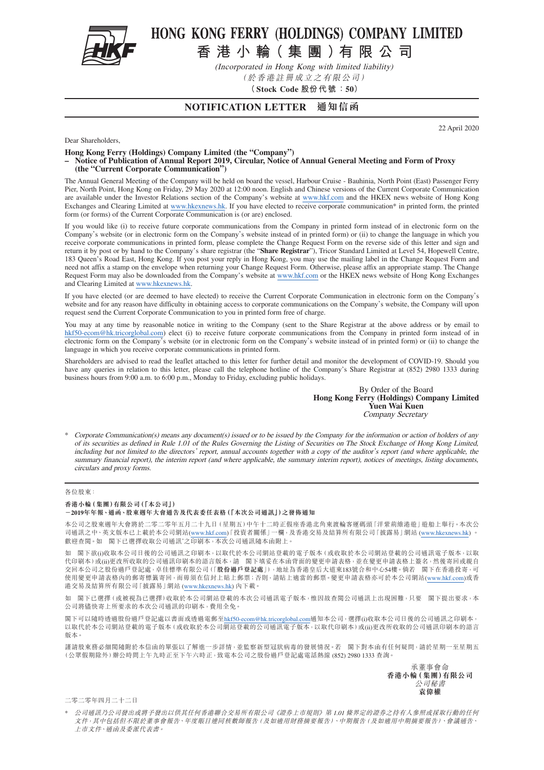

# HONG KONG FERRY (HOLDINGS) COMPANY LIMITED

**香港小輪( 集團)有限公司**

(Incorporated in Hong Kong with limited liability) (於香港註冊成立之有限公司)

**(Stock Code 股份代 號:50)**

### **NOTIFICATION LETTER 通知信函**

22 April 2020

Dear Shareholders,

**Hong Kong Ferry (Holdings) Company Limited (the "Company")**

**– Notice of Publication of Annual Report 2019, Circular, Notice of Annual General Meeting and Form of Proxy (the "Current Corporate Communication")**

The Annual General Meeting of the Company will be held on board the vessel, Harbour Cruise - Bauhinia, North Point (East) Passenger Ferry Pier, North Point, Hong Kong on Friday, 29 May 2020 at 12:00 noon. English and Chinese versions of the Current Corporate Communication are available under the Investor Relations section of the Company's website at www.hkf.com and the HKEX news website of Hong Kong Exchanges and Clearing Limited at www.hkexnews.hk. If you have elected to receive corporate communication\* in printed form, the printed form (or forms) of the Current Corporate Communication is (or are) enclosed.

If you would like (i) to receive future corporate communications from the Company in printed form instead of in electronic form on the Company's website (or in electronic form on the Company's website instead of in printed form) or (ii) to change the language in which you receive corporate communications in printed form, please complete the Change Request Form on the reverse side of this letter and sign and return it by post or by hand to the Company's share registrar (the "**Share Registrar**"), Tricor Standard Limited at Level 54, Hopewell Centre, 183 Queen's Road East, Hong Kong. If you post your reply in Hong Kong, you may use the mailing label in the Change Request Form and need not affix a stamp on the envelope when returning your Change Request Form. Otherwise, please affix an appropriate stamp. The Change Request Form may also be downloaded from the Company's website at www.hkf.com or the HKEX news website of Hong Kong Exchanges and Clearing Limited at www.hkexnews.hk.

If you have elected (or are deemed to have elected) to receive the Current Corporate Communication in electronic form on the Company's website and for any reason have difficulty in obtaining access to corporate communications on the Company's website, the Company will upon request send the Current Corporate Communication to you in printed form free of charge.

You may at any time by reasonable notice in writing to the Company (sent to the Share Registrar at the above address or by email to [hkf50-ecom@hk.tricorglobal.com\)](mailto:hkf50-ecom%40hk.tricorglobal.com?subject=hkf50-ecom%40hk.tricorglobal.com) elect (i) to receive future corporate communications from the Company in printed form instead of in electronic form on the Company's website (or in electronic form on the Company's website instead of in printed form) or (ii) to change the language in which you receive corporate communications in printed form.

Shareholders are advised to read the leaflet attached to this letter for further detail and monitor the development of COVID-19. Should you have any queries in relation to this letter, please call the telephone hotline of the Company's Share Registrar at (852) 2980 1333 during business hours from 9:00 a.m. to 6:00 p.m., Monday to Friday, excluding public holidays.

> By Order of the Board **Hong Kong Ferry (Holdings) Company Limited Yuen Wai Kuen** Company Secretary

\* Corporate Communication(s) means any document(s) issued or to be issued by the Company for the information or action of holders of any of its securities as defined in Rule 1.01 of the Rules Governing the Listing of Securities on The Stock Exchange of Hong Kong Limited, including but not limited to the directors' report, annual accounts together with a copy of the auditor's report (and where applicable, the summary financial report), the interim report (and where applicable, the summary interim report), notices of meetings, listing documents, circulars and proxy forms.

#### 各位股東:

#### **香港小輪(集團)有限公司(「本公司」)**

#### **-2019年年報、通函、股東週年大會通告及代表委任表格(「本次公司通訊」)之發佈通知**

本公司之股東週年大會將於二零二零年五月二十九日(星期五)中午十二時正假座香港北角東渡輪客運碼頭「洋紫荊維港遊」遊船上舉行。本次公 司通訊之中、英文版本已上載於本公司網站(www.hkf.com)「投資者關係」一欄,及香港交易及結算所有限公司「披露易」網站 (www.hkexnews.hk) 歡迎查閱。如 閣下已選擇收取公司通訊\*之印刷本,本次公司通訊隨本函附上。

如 閣下欲(i)收取本公司日後的公司通訊之印刷本,以取代於本公司網站登載的電子版本(或收取於本公司網站登載的公司通訊電子版本,以取 代印刷本)或(ii)更改所收取的公司通訊印刷本的語言版本,請 閣下填妥在本函背面的變更申請表格,並在變更申請表格上簽名,然後寄回或親自 交回本公司之股份過戶登記處,卓佳標準有限公司(「**股份過戶登記處**」),地址為香港皇后大道東183號合和中心54樓。倘若 閣下在香港投寄,可 使用變更申請表格內的郵寄標籤寄回,而毋須在信封上貼上郵票;否則,請貼上適當的郵票。變更申請表格亦可於本公司網站(www.hkf.com)或香 港交易及結算所有限公司「披露易」網站 (www.hkexnews.hk) 內下載。

如 閣下已選擇(或被視為已選擇)收取於本公司網站登載的本次公司通訊電子版本,惟因故查閲公司通訊上出現困難,只要 閣下提出要求,本 公司將儘快寄上所要求的本次公司通訊的印刷本,費用全免。

閣下可以隨時透過股份過戶登記處以書面或透過電郵至[hkf50-ecom@hk.tricorglobal.com](mailto:hkf50-ecom%40hk.tricorglobal.com?subject=hkf50-ecom%40hk.tricorglobal.com)通知本公司,選擇(i)收取本公司日後的公司通訊之印刷本, 以取代於本公司網站登載的電子版本(或收取於本公司網站登載的公司通訊電子版本,以取代印刷本)或(ii)更改所收取的公司通訊印刷本的語言 版本。

謹請股東務必細閱隨附於本信函的單張以了解進一步詳情,並監察新型冠狀病毒的發展情況。若 閣下對本函有任何疑問,請於星期一至星期五 (公眾假期除外)辦公時間上午九時正至下午六時正,致電本公司之股份過戶登記處電話熱線 (852) 2980 1333 查詢。

> 承董事會命 **香港小輪(集團)有限公司** 公司秘書 **袁偉權**

二零二零年四月二十二日

\* 公司通訊乃公司發出或將予發出以供其任何香港聯合交易所有限公司《證券上市規則》第 1.01 條界定的證券之持有人參照或採取行動的任何 文件,其中包括但不限於董事會報告、年度賬目連同核數師報告(及如適用財務摘要報告)、中期報告(及如適用中期摘要報告)、會議通告、 上市文件、通函及委派代表書。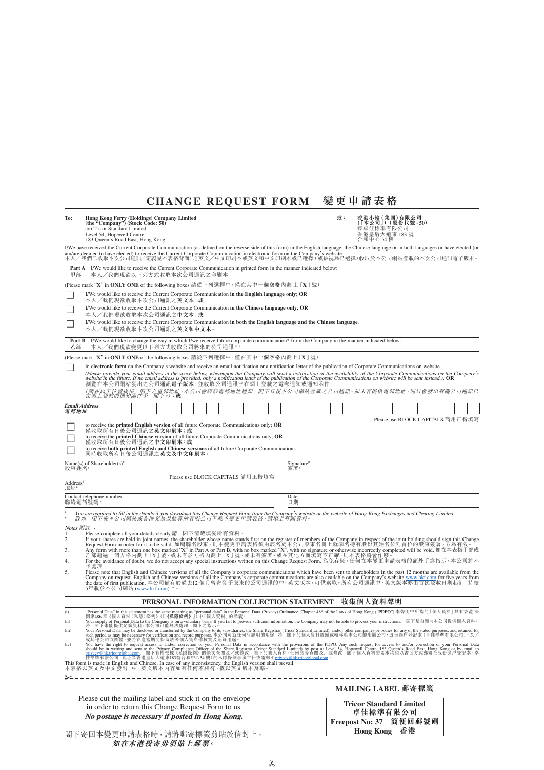# **CHANGE REQUEST FORM 變更申請表格**

| To:                                                                                                                                                                                                                                                                                                                                                                                                                                                                                                                                                                                                                                                                                                                                                                                                                                                                                                                                                                                                                                                                     | Hong Kong Ferry (Holdings) Company Limited<br>(the "Company") (Stock Code: 50)<br>c/o Tricor Standard Limited<br>Level 54, Hopewell Centre,<br>183 Queen's Road East, Hong Kong                                                                                                                                                                                                                     |  |       | 致:<br>香港小輪 (集團)有限公司<br>(「本公司」) (股份代號:50)<br>經卓佳標準有限公司<br>香港皇后大道東 183 號<br>合和中心 54 樓 |     |                                                      |  |                  |          |    |                        |  |  |  |  |
|-------------------------------------------------------------------------------------------------------------------------------------------------------------------------------------------------------------------------------------------------------------------------------------------------------------------------------------------------------------------------------------------------------------------------------------------------------------------------------------------------------------------------------------------------------------------------------------------------------------------------------------------------------------------------------------------------------------------------------------------------------------------------------------------------------------------------------------------------------------------------------------------------------------------------------------------------------------------------------------------------------------------------------------------------------------------------|-----------------------------------------------------------------------------------------------------------------------------------------------------------------------------------------------------------------------------------------------------------------------------------------------------------------------------------------------------------------------------------------------------|--|-------|-------------------------------------------------------------------------------------|-----|------------------------------------------------------|--|------------------|----------|----|------------------------|--|--|--|--|
| I/We have received the Current Corporate Communication (as defined on the reverse side of this form) in the English language, the Chinese language or in both languages or have elected (or<br>am/are deemed to have elected) to receive the Current Corporate Communication in electronic form on the Company's website.<br>本人/我們已收取本次公司通訊 (定義見本表格背面)之英文/中文印刷本或英文和中文印刷本或已選擇 (或被視為已選擇) 收取於本公司網站登載的本次公司通訊電子版本。                                                                                                                                                                                                                                                                                                                                                                                                                                                                                                                                                                                                                                                           |                                                                                                                                                                                                                                                                                                                                                                                                     |  |       |                                                                                     |     |                                                      |  |                  |          |    |                        |  |  |  |  |
| Part A<br>甲部                                                                                                                                                                                                                                                                                                                                                                                                                                                                                                                                                                                                                                                                                                                                                                                                                                                                                                                                                                                                                                                            | I/We would like to receive the Current Corporate Communication in printed form in the manner indicated below:<br>本人/我們現欲以下列方式收取本次公司通訊之印刷本:                                                                                                                                                                                                                                                          |  |       |                                                                                     |     |                                                      |  |                  |          |    |                        |  |  |  |  |
|                                                                                                                                                                                                                                                                                                                                                                                                                                                                                                                                                                                                                                                                                                                                                                                                                                                                                                                                                                                                                                                                         | (Please mark "X" in ONLY ONE of the following boxes 請從下列選擇中,僅在其中一個空格內劃上 [X]號)                                                                                                                                                                                                                                                                                                                       |  |       |                                                                                     |     |                                                      |  |                  |          |    |                        |  |  |  |  |
|                                                                                                                                                                                                                                                                                                                                                                                                                                                                                                                                                                                                                                                                                                                                                                                                                                                                                                                                                                                                                                                                         | I/We would like to receive the Current Corporate Communication in the English language only; OR<br>本人/我們現欲收取本次公司通訊之英文本; 或                                                                                                                                                                                                                                                                           |  |       |                                                                                     |     |                                                      |  |                  |          |    |                        |  |  |  |  |
|                                                                                                                                                                                                                                                                                                                                                                                                                                                                                                                                                                                                                                                                                                                                                                                                                                                                                                                                                                                                                                                                         | I/We would like to receive the Current Corporate Communication in the Chinese language only; OR<br>本人/我們現欲收取本次公司通訊之中文本;或                                                                                                                                                                                                                                                                            |  |       |                                                                                     |     |                                                      |  |                  |          |    |                        |  |  |  |  |
|                                                                                                                                                                                                                                                                                                                                                                                                                                                                                                                                                                                                                                                                                                                                                                                                                                                                                                                                                                                                                                                                         | I/We would like to receive the Current Corporate Communication in both the English language and the Chinese language.<br>本人/我們現欲收取本次公司通訊之英文和中文本。                                                                                                                                                                                                                                                    |  |       |                                                                                     |     |                                                      |  |                  |          |    |                        |  |  |  |  |
| I/We would like to change the way in which I/we receive future corporate communication* from the Company in the manner indicated below:<br>Part B<br>本人/我們現欲變更以下列方式收取公司將來的公司通訊 *:<br>乙部                                                                                                                                                                                                                                                                                                                                                                                                                                                                                                                                                                                                                                                                                                                                                                                                                                                                                 |                                                                                                                                                                                                                                                                                                                                                                                                     |  |       |                                                                                     |     |                                                      |  |                  |          |    |                        |  |  |  |  |
|                                                                                                                                                                                                                                                                                                                                                                                                                                                                                                                                                                                                                                                                                                                                                                                                                                                                                                                                                                                                                                                                         | (Please mark "X" in ONLY ONE of the following boxes 請從下列選擇中, 僅在其中一個空格內劃上 [X] 號)                                                                                                                                                                                                                                                                                                                     |  |       |                                                                                     |     |                                                      |  |                  |          |    |                        |  |  |  |  |
| in electronic form on the Company's website and receive an email notification or a notification letter of the publication of Corporate Communications on website<br>(Please provide your email address in the space below, whereupon the Company will send a notification of the availability of the Corporate Communications on the Company's website in the future. If no email address is provi<br>瀏覽在本公司網站發出之公司通訊電子版本,並收取公司通訊已在網上登載之電郵通知或通知函件<br>(請在以下位置提供 閣下之電郵地址,本公司會經該電郵地址通知 閣下日後本公司網站登載之公司通訊。如未有提供電郵地址,則只會發出有關公司通訊已<br>在網上登載的通知函件予 閣下。); <b>或</b>                                                                                                                                                                                                                                                                                                                                                                                                                                                                                                               |                                                                                                                                                                                                                                                                                                                                                                                                     |  |       |                                                                                     |     |                                                      |  |                  |          |    |                        |  |  |  |  |
| 電郵地址                                                                                                                                                                                                                                                                                                                                                                                                                                                                                                                                                                                                                                                                                                                                                                                                                                                                                                                                                                                                                                                                    | <b>Email Address</b>                                                                                                                                                                                                                                                                                                                                                                                |  |       |                                                                                     |     |                                                      |  |                  |          |    |                        |  |  |  |  |
|                                                                                                                                                                                                                                                                                                                                                                                                                                                                                                                                                                                                                                                                                                                                                                                                                                                                                                                                                                                                                                                                         | Please use BLOCK CAPITALS 請用正楷填寫<br>to receive the <b>printed English version</b> of all future Corporate Communications only; OR<br>僅收取所有日後公司通訊之英文印刷本;或<br>to receive the printed Chinese version of all future Corporate Communications only; OR<br>僅收取所有日後公司通訊之中文印刷本;或<br>to receive both printed English and Chinese versions of all future Corporate Communications.<br>同時收取所有日後公司通訊之英文及中文印刷本。 |  |       |                                                                                     |     |                                                      |  |                  |          |    |                        |  |  |  |  |
| 股東姓名*                                                                                                                                                                                                                                                                                                                                                                                                                                                                                                                                                                                                                                                                                                                                                                                                                                                                                                                                                                                                                                                                   | Name(s) of Shareholder(s) <sup>#</sup>                                                                                                                                                                                                                                                                                                                                                              |  |       | Signature <sup>#</sup>                                                              |     |                                                      |  |                  |          |    |                        |  |  |  |  |
| 簽署#<br>Please use BLOCK CAPITALS 請用正楷填寫<br>Address <sup>#</sup>                                                                                                                                                                                                                                                                                                                                                                                                                                                                                                                                                                                                                                                                                                                                                                                                                                                                                                                                                                                                         |                                                                                                                                                                                                                                                                                                                                                                                                     |  |       |                                                                                     |     |                                                      |  |                  |          |    |                        |  |  |  |  |
| 地址"                                                                                                                                                                                                                                                                                                                                                                                                                                                                                                                                                                                                                                                                                                                                                                                                                                                                                                                                                                                                                                                                     | Contact telephone number:                                                                                                                                                                                                                                                                                                                                                                           |  | Date: |                                                                                     |     |                                                      |  |                  |          |    |                        |  |  |  |  |
|                                                                                                                                                                                                                                                                                                                                                                                                                                                                                                                                                                                                                                                                                                                                                                                                                                                                                                                                                                                                                                                                         | 聯絡電話號碼:                                                                                                                                                                                                                                                                                                                                                                                             |  |       |                                                                                     | 日期: |                                                      |  |                  |          |    |                        |  |  |  |  |
|                                                                                                                                                                                                                                                                                                                                                                                                                                                                                                                                                                                                                                                                                                                                                                                                                                                                                                                                                                                                                                                                         | You are required to fill in the details if you download this Change Request Form from the Company's website or the website of Hong Kong Exchanges and Clearing Limited.<br>假如 阁下从本公司纲站或香港交易及結算所有限公司下載本變更申請表格,請填上有關資料。                                                                                                                                                                               |  |       |                                                                                     |     |                                                      |  |                  |          |    |                        |  |  |  |  |
| Notes 附註<br>Please complete all your details clearly.請 閣下清楚填妥所有資料。<br>1.<br>Tust complete an your datas cearry, the pharmal stander whose name stands first on the register of members of the Company in respect of the joint holding should sign this Change<br>Request Form in order for it to be valid. 如<br>2.<br>3.<br>4.<br>予處理。<br>Please note that English and Chinese versions of all the Company's corporate communications which have been sent to shareholders in the past 12 months are available from the<br>5.<br>Company on request. English and Chinese versions of all the Company's corporate communications are also available on the Company's website www.hkf.com for five years from<br>the date of first publication. 本公司備有於過去12 個月曾寄發予股東                                                                                                                                                                                                                                                                                                       |                                                                                                                                                                                                                                                                                                                                                                                                     |  |       |                                                                                     |     |                                                      |  |                  |          |    |                        |  |  |  |  |
| 5年載於本公司網站 ( <u>www.hkf.com</u> )上。                                                                                                                                                                                                                                                                                                                                                                                                                                                                                                                                                                                                                                                                                                                                                                                                                                                                                                                                                                                                                                      |                                                                                                                                                                                                                                                                                                                                                                                                     |  |       |                                                                                     |     |                                                      |  |                  |          |    |                        |  |  |  |  |
| 收集個人資料聲明<br>PERSONAL INFORMATION COLLECTION STATEMENT                                                                                                                                                                                                                                                                                                                                                                                                                                                                                                                                                                                                                                                                                                                                                                                                                                                                                                                                                                                                                   |                                                                                                                                                                                                                                                                                                                                                                                                     |  |       |                                                                                     |     |                                                      |  |                  |          |    |                        |  |  |  |  |
| "Personal Data" in this statement has the same meaning as "personal data" in the Personal Data (Privacy) Ordinance, Chapter 486 of the Laws of Hong Kong ("PDPO").本聲明中所指的「個人資料」具有香港 法例第486章 《個人資料』具有香港 法<br>(i)<br>Your supply of Personal Data to the Company is on a voluntary basis. If you fail to provide sufficient information, the Company may not be able to process your instructions. 閣下是自顧向本公司提供個人資料。<br>(ii)<br>* 副下未能提供足夠資料,本公司可能無法處理一關下之指示。<br>Tour Personal Data may be accessary for transferred by the Company to the Substitute of the Substitute of the Substitute of the Substitute of the Substitute of the Substitute of the Substit<br>(iii)<br>Not have the right to request access to and/or correction of your Personal Data in accordance with the provisions of the PDPO. Any such request for access to and/or correction of your Personal Data<br>should be in writing an<br>(iv)<br>This form is made in English and Chinese. In case of any inconsistency, the English version shall prevail.<br>本表格以英文及中文發出。中、英文版本內容如有任何不相符,概以英文版本為準。 |                                                                                                                                                                                                                                                                                                                                                                                                     |  |       |                                                                                     |     |                                                      |  |                  |          |    |                        |  |  |  |  |
|                                                                                                                                                                                                                                                                                                                                                                                                                                                                                                                                                                                                                                                                                                                                                                                                                                                                                                                                                                                                                                                                         |                                                                                                                                                                                                                                                                                                                                                                                                     |  |       |                                                                                     |     |                                                      |  |                  |          |    |                        |  |  |  |  |
|                                                                                                                                                                                                                                                                                                                                                                                                                                                                                                                                                                                                                                                                                                                                                                                                                                                                                                                                                                                                                                                                         | Please cut the mailing label and stick it on the envelope                                                                                                                                                                                                                                                                                                                                           |  |       |                                                                                     |     | MAILING LABEL 郵寄標籤<br><b>Tricor Standard Limited</b> |  |                  |          |    |                        |  |  |  |  |
| in order to return this Change Request Form to us.                                                                                                                                                                                                                                                                                                                                                                                                                                                                                                                                                                                                                                                                                                                                                                                                                                                                                                                                                                                                                      |                                                                                                                                                                                                                                                                                                                                                                                                     |  |       |                                                                                     |     |                                                      |  |                  | 卓佳標準有限公司 |    |                        |  |  |  |  |
|                                                                                                                                                                                                                                                                                                                                                                                                                                                                                                                                                                                                                                                                                                                                                                                                                                                                                                                                                                                                                                                                         | No postage is necessary if posted in Hong Kong.<br>閣下寄回本變更申請表格時,請將郵寄標籤剪貼於信封上。<br>如在本港投寄毋須貼上郵票。                                                                                                                                                                                                                                                                                                      |  |       |                                                                                     |     |                                                      |  | <b>Hong Kong</b> |          | 香港 | Freepost No: 37 簡便回郵號碼 |  |  |  |  |

✂